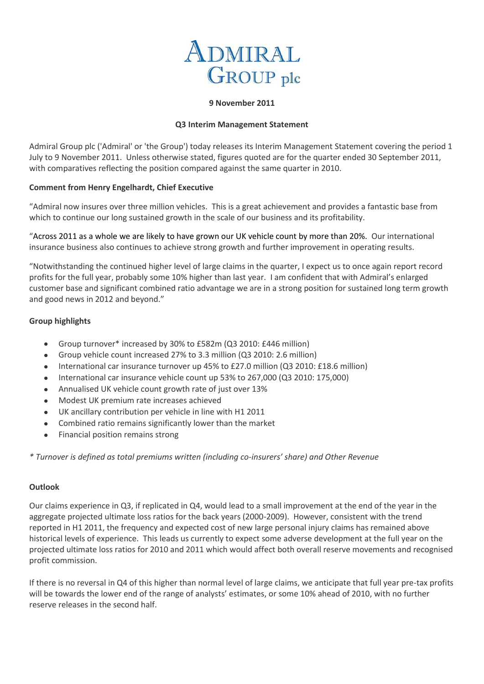

### **9 November 2011**

### **Q3 Interim Management Statement**

Admiral Group plc ('Admiral' or 'the Group') today releases its Interim Management Statement covering the period 1 July to 9 November 2011. Unless otherwise stated, figures quoted are for the quarter ended 30 September 2011, with comparatives reflecting the position compared against the same quarter in 2010.

## **Comment from Henry Engelhardt, Chief Executive**

"Admiral now insures over three million vehicles. This is a great achievement and provides a fantastic base from which to continue our long sustained growth in the scale of our business and its profitability.

"Across 2011 as a whole we are likely to have grown our UK vehicle count by more than 20%. Our international insurance business also continues to achieve strong growth and further improvement in operating results.

"Notwithstanding the continued higher level of large claims in the quarter, I expect us to once again report record profits for the full year, probably some 10% higher than last year. I am confident that with Admiral's enlarged customer base and significant combined ratio advantage we are in a strong position for sustained long term growth and good news in 2012 and beyond."

## **Group highlights**

- Group turnover\* increased by 30% to £582m (Q3 2010: £446 million)
- Group vehicle count increased 27% to 3.3 million (Q3 2010: 2.6 million)
- $\bullet$ International car insurance turnover up 45% to £27.0 million (Q3 2010: £18.6 million)
- International car insurance vehicle count up 53% to 267,000 (Q3 2010: 175,000)  $\bullet$
- Annualised UK vehicle count growth rate of just over 13%  $\bullet$
- Modest UK premium rate increases achieved  $\bullet$
- UK ancillary contribution per vehicle in line with H1 2011  $\bullet$
- $\bullet$ Combined ratio remains significantly lower than the market
- Financial position remains strong  $\bullet$

*\* Turnover is defined as total premiums written (including co-insurers' share) and Other Revenue*

#### **Outlook**

Our claims experience in Q3, if replicated in Q4, would lead to a small improvement at the end of the year in the aggregate projected ultimate loss ratios for the back years (2000-2009). However, consistent with the trend reported in H1 2011, the frequency and expected cost of new large personal injury claims has remained above historical levels of experience. This leads us currently to expect some adverse development at the full year on the projected ultimate loss ratios for 2010 and 2011 which would affect both overall reserve movements and recognised profit commission.

If there is no reversal in Q4 of this higher than normal level of large claims, we anticipate that full year pre-tax profits will be towards the lower end of the range of analysts' estimates, or some 10% ahead of 2010, with no further reserve releases in the second half.